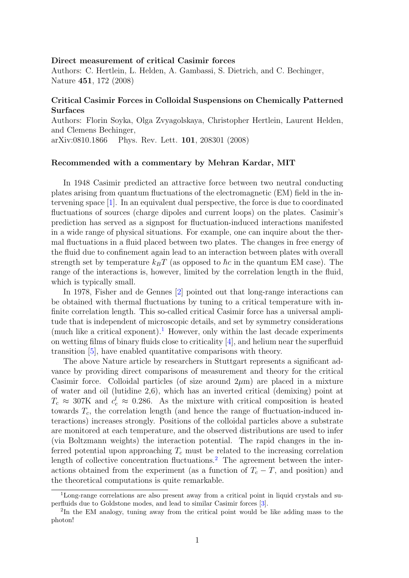## Direct measurement of critical Casimir forces

Authors: C. Hertlein, L. Helden, A. Gambassi, S. Dietrich, and C. Bechinger, Nature 451, 172 (2008)

## Critical Casimir Forces in Colloidal Suspensions on Chemically Patterned Surfaces

Authors: Florin Soyka, Olga Zvyagolskaya, Christopher Hertlein, Laurent Helden, and Clemens Bechinger,

arXiv:0810.1866 Phys. Rev. Lett. 101, 208301 (2008)

## Recommended with a commentary by Mehran Kardar, MIT

In 1948 Casimir predicted an attractive force between two neutral conducting plates arising from quantum fluctuations of the electromagnetic (EM) field in the intervening space [\[1\]](#page-1-0). In an equivalent dual perspective, the force is due to coordinated fluctuations of sources (charge dipoles and current loops) on the plates. Casimir's prediction has served as a signpost for fluctuation-induced interactions manifested in a wide range of physical situations. For example, one can inquire about the thermal fluctuations in a fluid placed between two plates. The changes in free energy of the fluid due to confinement again lead to an interaction between plates with overall strength set by temperature  $k_BT$  (as opposed to  $\hbar c$  in the quantum EM case). The range of the interactions is, however, limited by the correlation length in the fluid, which is typically small.

In 1978, Fisher and de Gennes [\[2\]](#page-1-1) pointed out that long-range interactions can be obtained with thermal fluctuations by tuning to a critical temperature with infinite correlation length. This so-called critical Casimir force has a universal amplitude that is independent of microscopic details, and set by symmetry considerations (much like a critical exponent).<sup>[1](#page-0-0)</sup> However, only within the last decade experiments on wetting films of binary fluids close to criticality [\[4\]](#page-1-2), and helium near the superfluid transition [\[5\]](#page-1-3), have enabled quantitative comparisons with theory.

The above Nature article by researchers in Stuttgart represents a significant advance by providing direct comparisons of measurement and theory for the critical Casimir force. Colloidal particles (of size around  $2\mu$ m) are placed in a mixture of water and oil (lutidine 2,6), which has an inverted critical (demixing) point at  $T_c \approx 307$ K and  $c_c^l \approx 0.286$ . As the mixture with critical composition is heated towards  $T_c$ , the correlation length (and hence the range of fluctuation-induced interactions) increases strongly. Positions of the colloidal particles above a substrate are monitored at each temperature, and the observed distributions are used to infer (via Boltzmann weights) the interaction potential. The rapid changes in the inferred potential upon approaching  $T_c$  must be related to the increasing correlation length of collective concentration fluctuations.<sup>[2](#page-0-1)</sup> The agreement between the interactions obtained from the experiment (as a function of  $T_c - T$ , and position) and the theoretical computations is quite remarkable.

<span id="page-0-0"></span><sup>&</sup>lt;sup>1</sup>Long-range correlations are also present away from a critical point in liquid crystals and superfluids due to Goldstone modes, and lead to similar Casimir forces [\[3\]](#page-1-4).

<span id="page-0-1"></span><sup>&</sup>lt;sup>2</sup>In the EM analogy, tuning away from the critical point would be like adding mass to the photon!